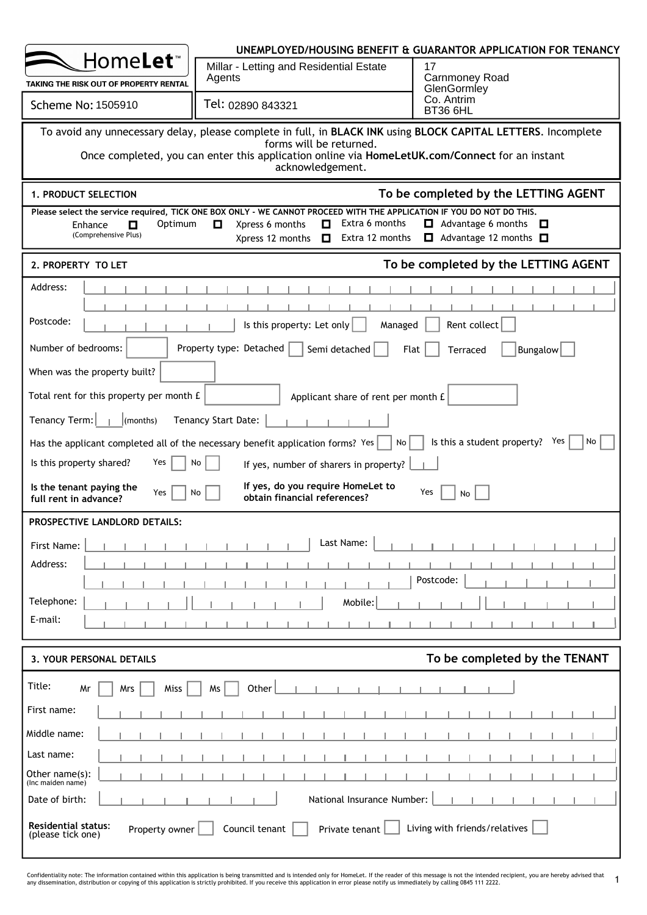|                                                                   |                                                                                                                                                                                                                    | UNEMPLOYED/HOUSING BENEFIT & GUARANTOR APPLICATION FOR TENANCY              |
|-------------------------------------------------------------------|--------------------------------------------------------------------------------------------------------------------------------------------------------------------------------------------------------------------|-----------------------------------------------------------------------------|
| Home <b>Let</b> ™                                                 | Millar - Letting and Residential Estate                                                                                                                                                                            | 17<br><b>Carnmoney Road</b>                                                 |
| TAKING THE RISK OUT OF PROPERTY RENTAL                            | Agents                                                                                                                                                                                                             | GlenGormley                                                                 |
| <b>Scheme No: 1505910</b>                                         | Tel: 02890 843321                                                                                                                                                                                                  | Co. Antrim<br>BT36 6HL                                                      |
|                                                                   | To avoid any unnecessary delay, please complete in full, in BLACK INK using BLOCK CAPITAL LETTERS. Incomplete<br>forms will be returned.                                                                           |                                                                             |
|                                                                   | Once completed, you can enter this application online via HomeLetUK.com/Connect for an instant<br>acknowledgement.                                                                                                 |                                                                             |
| 1. PRODUCT SELECTION                                              |                                                                                                                                                                                                                    | To be completed by the LETTING AGENT                                        |
| Optimum<br>0<br>Enhance<br>(Comprehensive Plus)                   | Please select the service required, TICK ONE BOX ONLY - WE CANNOT PROCEED WITH THE APPLICATION IF YOU DO NOT DO THIS.<br>Extra 6 months<br>0<br>o<br>Xpress 6 months<br>Extra 12 months<br>Xpress 12 months $\Box$ | $\Box$ Advantage 6 months<br>- 0<br>Advantage 12 months $\square$<br>$\Box$ |
| 2. PROPERTY TO LET                                                |                                                                                                                                                                                                                    | To be completed by the LETTING AGENT                                        |
| Address:                                                          |                                                                                                                                                                                                                    |                                                                             |
| Postcode:                                                         |                                                                                                                                                                                                                    |                                                                             |
|                                                                   | Is this property: Let only<br>Managed                                                                                                                                                                              | Rent collect                                                                |
| Number of bedrooms:                                               | Property type: Detached<br>Semi detached                                                                                                                                                                           | Flat<br>Bungalow<br>Terraced                                                |
| When was the property built?                                      |                                                                                                                                                                                                                    |                                                                             |
| Total rent for this property per month £                          | Applicant share of rent per month £                                                                                                                                                                                |                                                                             |
| Tenancy Term:<br>$ $ (months)                                     | Tenancy Start Date:                                                                                                                                                                                                |                                                                             |
|                                                                   | Has the applicant completed all of the necessary benefit application forms? Yes<br>No                                                                                                                              | Is this a student property?<br>Yes<br>No                                    |
| Is this property shared?<br>Yes                                   | No<br>If yes, number of sharers in property?                                                                                                                                                                       |                                                                             |
| Is the tenant paying the<br>Yes<br>full rent in advance?          | If yes, do you require HomeLet to<br>No<br>obtain financial references?                                                                                                                                            | Yes<br>No                                                                   |
| <b>PROSPECTIVE LANDLORD DETAILS:</b>                              |                                                                                                                                                                                                                    |                                                                             |
| First Name:                                                       | Last Name:                                                                                                                                                                                                         |                                                                             |
| Address:                                                          |                                                                                                                                                                                                                    | Postcode:                                                                   |
| Telephone:                                                        | Mobile:                                                                                                                                                                                                            |                                                                             |
| E-mail:                                                           |                                                                                                                                                                                                                    |                                                                             |
|                                                                   |                                                                                                                                                                                                                    |                                                                             |
| 3. YOUR PERSONAL DETAILS                                          |                                                                                                                                                                                                                    | To be completed by the TENANT                                               |
| Title:<br>Miss<br>Mr<br>Mrs                                       | Other<br>Ms                                                                                                                                                                                                        |                                                                             |
| First name:                                                       |                                                                                                                                                                                                                    |                                                                             |
| Middle name:                                                      |                                                                                                                                                                                                                    |                                                                             |
| Last name:                                                        |                                                                                                                                                                                                                    |                                                                             |
| Other name(s):<br>(Inc maiden name)                               |                                                                                                                                                                                                                    |                                                                             |
| Date of birth:                                                    | National Insurance Number:                                                                                                                                                                                         |                                                                             |
| <b>Residential status:</b><br>Property owner<br>(please tick one) | Council tenant<br>Private tenant                                                                                                                                                                                   | Living with friends/relatives                                               |

Confidentiality note: The information contained within this application is being transmitted and is intended only for HomeLet. If the reader of this message is not the intended recipient, you are hereby advised that<br>any di 1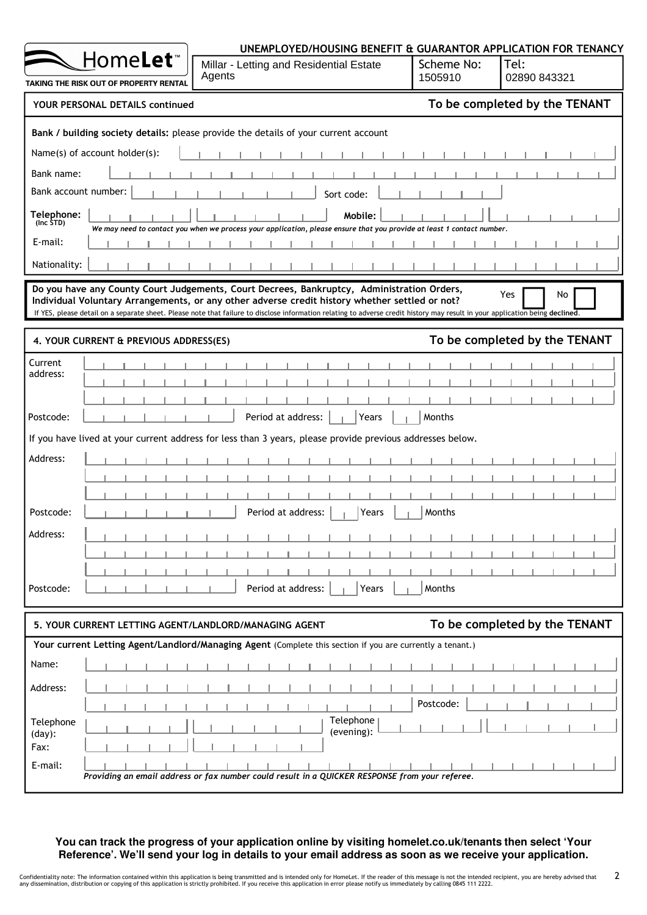|                         |                                                             | UNEMPLOYED/HOUSING BENEFIT & GUARANTOR APPLICATION FOR TENANCY                                                                                                                                                                                                                                                                                                                |                       |                               |
|-------------------------|-------------------------------------------------------------|-------------------------------------------------------------------------------------------------------------------------------------------------------------------------------------------------------------------------------------------------------------------------------------------------------------------------------------------------------------------------------|-----------------------|-------------------------------|
|                         | Home <b>Let</b> ™<br>TAKING THE RISK OUT OF PROPERTY RENTAL | Millar - Letting and Residential Estate<br>Agents                                                                                                                                                                                                                                                                                                                             | Scheme No:<br>1505910 | Tel:<br>02890 843321          |
|                         | YOUR PERSONAL DETAILS continued                             |                                                                                                                                                                                                                                                                                                                                                                               |                       | To be completed by the TENANT |
|                         |                                                             | Bank / building society details: please provide the details of your current account                                                                                                                                                                                                                                                                                           |                       |                               |
|                         | Name(s) of account holder(s):                               |                                                                                                                                                                                                                                                                                                                                                                               |                       |                               |
| Bank name:              |                                                             |                                                                                                                                                                                                                                                                                                                                                                               |                       |                               |
| Bank account number:    |                                                             | Sort code:                                                                                                                                                                                                                                                                                                                                                                    |                       |                               |
| Telephone:<br>(Inc STD) |                                                             | Mobile:<br>We may need to contact you when we process your application, please ensure that you provide at least 1 contact number.                                                                                                                                                                                                                                             |                       |                               |
| E-mail:                 |                                                             |                                                                                                                                                                                                                                                                                                                                                                               |                       |                               |
| Nationality:            |                                                             |                                                                                                                                                                                                                                                                                                                                                                               |                       |                               |
|                         |                                                             | Do you have any County Court Judgements, Court Decrees, Bankruptcy, Administration Orders,<br>Individual Voluntary Arrangements, or any other adverse credit history whether settled or not?<br>If YES, please detail on a separate sheet. Please note that failure to disclose information relating to adverse credit history may result in your application being declined. |                       | Yes<br>No                     |
|                         | 4. YOUR CURRENT & PREVIOUS ADDRESS(ES)                      |                                                                                                                                                                                                                                                                                                                                                                               |                       | To be completed by the TENANT |
| Current                 |                                                             |                                                                                                                                                                                                                                                                                                                                                                               |                       |                               |
| address:                |                                                             |                                                                                                                                                                                                                                                                                                                                                                               |                       |                               |
|                         |                                                             |                                                                                                                                                                                                                                                                                                                                                                               |                       |                               |
| Postcode:               |                                                             | Period at address:<br>Years                                                                                                                                                                                                                                                                                                                                                   | Months                |                               |
|                         |                                                             | If you have lived at your current address for less than 3 years, please provide previous addresses below.                                                                                                                                                                                                                                                                     |                       |                               |
| Address:                |                                                             |                                                                                                                                                                                                                                                                                                                                                                               |                       |                               |
|                         |                                                             |                                                                                                                                                                                                                                                                                                                                                                               |                       |                               |
| Postcode:               |                                                             | Period at address:<br>Years                                                                                                                                                                                                                                                                                                                                                   | Months                |                               |
| Address:                |                                                             |                                                                                                                                                                                                                                                                                                                                                                               |                       |                               |
|                         |                                                             |                                                                                                                                                                                                                                                                                                                                                                               |                       |                               |
|                         |                                                             |                                                                                                                                                                                                                                                                                                                                                                               |                       |                               |
| Postcode:               |                                                             | Period at address:<br>Years                                                                                                                                                                                                                                                                                                                                                   | Months                |                               |
|                         |                                                             | 5. YOUR CURRENT LETTING AGENT/LANDLORD/MANAGING AGENT                                                                                                                                                                                                                                                                                                                         |                       | To be completed by the TENANT |
|                         |                                                             | Your current Letting Agent/Landlord/Managing Agent (Complete this section if you are currently a tenant.)                                                                                                                                                                                                                                                                     |                       |                               |
| Name:                   |                                                             |                                                                                                                                                                                                                                                                                                                                                                               |                       |                               |
| Address:                |                                                             |                                                                                                                                                                                                                                                                                                                                                                               |                       |                               |
|                         |                                                             |                                                                                                                                                                                                                                                                                                                                                                               | Postcode:             |                               |
| Telephone<br>$(day)$ :  |                                                             | Telephone<br>(evening):                                                                                                                                                                                                                                                                                                                                                       |                       |                               |
| Fax:                    |                                                             |                                                                                                                                                                                                                                                                                                                                                                               |                       |                               |
| E-mail:                 |                                                             | Providing an email address or fax number could result in a QUICKER RESPONSE from your referee.                                                                                                                                                                                                                                                                                |                       |                               |

**You can track the progress of your application online by visiting homelet.co.uk/tenants then select 'Your Reference'. We'll send your log in details to your email address as soon as we receive your application.**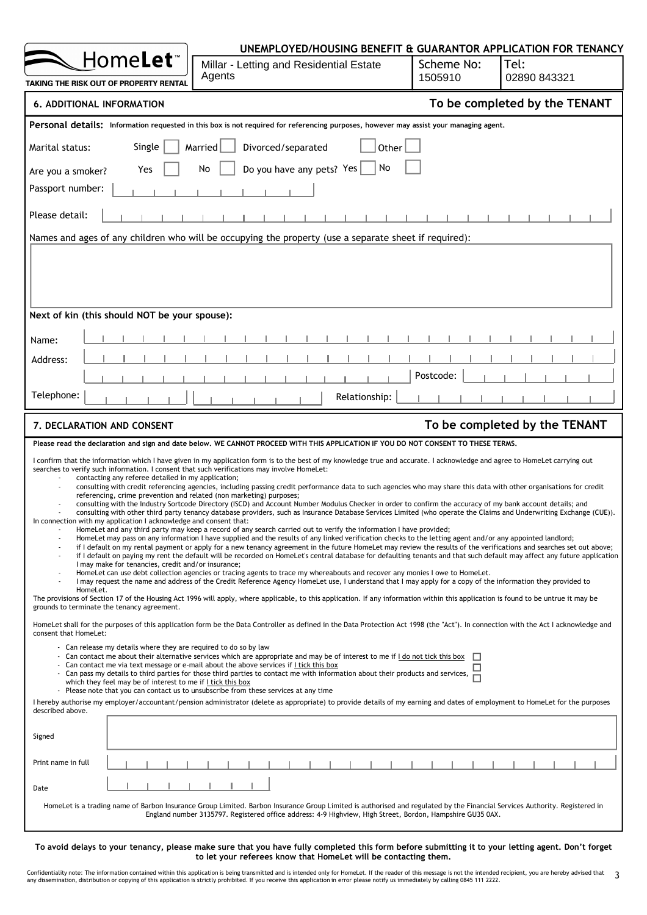|                                                                                                                                                                                                                                                                                                                                                                                                                                                                                                                                                                                                          | UNEMPLOYED/HOUSING BENEFIT & GUARANTOR APPLICATION FOR TENANCY                                                                                                                                                                                                                                                                                                                                                                                                                                                                                                                                                                                                                                                                                                                                                                                                                                                                                                                                                                                                                                                                                                                                                                                                                                                                                                                                                                                                                                                                                                                                                                                                                                                                                                                                                                                                                                                                                                                                                                                                                                                                                                                                                                                                                                                                                                                                                                                                                                                                                                                                                                                    |                       |                               |
|----------------------------------------------------------------------------------------------------------------------------------------------------------------------------------------------------------------------------------------------------------------------------------------------------------------------------------------------------------------------------------------------------------------------------------------------------------------------------------------------------------------------------------------------------------------------------------------------------------|---------------------------------------------------------------------------------------------------------------------------------------------------------------------------------------------------------------------------------------------------------------------------------------------------------------------------------------------------------------------------------------------------------------------------------------------------------------------------------------------------------------------------------------------------------------------------------------------------------------------------------------------------------------------------------------------------------------------------------------------------------------------------------------------------------------------------------------------------------------------------------------------------------------------------------------------------------------------------------------------------------------------------------------------------------------------------------------------------------------------------------------------------------------------------------------------------------------------------------------------------------------------------------------------------------------------------------------------------------------------------------------------------------------------------------------------------------------------------------------------------------------------------------------------------------------------------------------------------------------------------------------------------------------------------------------------------------------------------------------------------------------------------------------------------------------------------------------------------------------------------------------------------------------------------------------------------------------------------------------------------------------------------------------------------------------------------------------------------------------------------------------------------------------------------------------------------------------------------------------------------------------------------------------------------------------------------------------------------------------------------------------------------------------------------------------------------------------------------------------------------------------------------------------------------------------------------------------------------------------------------------------------------|-----------------------|-------------------------------|
| Home <b>Let</b> ™<br>TAKING THE RISK OUT OF PROPERTY RENTAL                                                                                                                                                                                                                                                                                                                                                                                                                                                                                                                                              | Millar - Letting and Residential Estate<br>Agents                                                                                                                                                                                                                                                                                                                                                                                                                                                                                                                                                                                                                                                                                                                                                                                                                                                                                                                                                                                                                                                                                                                                                                                                                                                                                                                                                                                                                                                                                                                                                                                                                                                                                                                                                                                                                                                                                                                                                                                                                                                                                                                                                                                                                                                                                                                                                                                                                                                                                                                                                                                                 | Scheme No:<br>1505910 | Tel:<br>02890 843321          |
| <b>6. ADDITIONAL INFORMATION</b>                                                                                                                                                                                                                                                                                                                                                                                                                                                                                                                                                                         |                                                                                                                                                                                                                                                                                                                                                                                                                                                                                                                                                                                                                                                                                                                                                                                                                                                                                                                                                                                                                                                                                                                                                                                                                                                                                                                                                                                                                                                                                                                                                                                                                                                                                                                                                                                                                                                                                                                                                                                                                                                                                                                                                                                                                                                                                                                                                                                                                                                                                                                                                                                                                                                   |                       | To be completed by the TENANT |
|                                                                                                                                                                                                                                                                                                                                                                                                                                                                                                                                                                                                          | Personal details: Information requested in this box is not required for referencing purposes, however may assist your managing agent.                                                                                                                                                                                                                                                                                                                                                                                                                                                                                                                                                                                                                                                                                                                                                                                                                                                                                                                                                                                                                                                                                                                                                                                                                                                                                                                                                                                                                                                                                                                                                                                                                                                                                                                                                                                                                                                                                                                                                                                                                                                                                                                                                                                                                                                                                                                                                                                                                                                                                                             |                       |                               |
| Single<br>Marital status:                                                                                                                                                                                                                                                                                                                                                                                                                                                                                                                                                                                | Divorced/separated<br>Married<br>Other                                                                                                                                                                                                                                                                                                                                                                                                                                                                                                                                                                                                                                                                                                                                                                                                                                                                                                                                                                                                                                                                                                                                                                                                                                                                                                                                                                                                                                                                                                                                                                                                                                                                                                                                                                                                                                                                                                                                                                                                                                                                                                                                                                                                                                                                                                                                                                                                                                                                                                                                                                                                            |                       |                               |
| Yes<br>Are you a smoker?                                                                                                                                                                                                                                                                                                                                                                                                                                                                                                                                                                                 | Do you have any pets? Yes<br>No<br>No                                                                                                                                                                                                                                                                                                                                                                                                                                                                                                                                                                                                                                                                                                                                                                                                                                                                                                                                                                                                                                                                                                                                                                                                                                                                                                                                                                                                                                                                                                                                                                                                                                                                                                                                                                                                                                                                                                                                                                                                                                                                                                                                                                                                                                                                                                                                                                                                                                                                                                                                                                                                             |                       |                               |
| Passport number:                                                                                                                                                                                                                                                                                                                                                                                                                                                                                                                                                                                         |                                                                                                                                                                                                                                                                                                                                                                                                                                                                                                                                                                                                                                                                                                                                                                                                                                                                                                                                                                                                                                                                                                                                                                                                                                                                                                                                                                                                                                                                                                                                                                                                                                                                                                                                                                                                                                                                                                                                                                                                                                                                                                                                                                                                                                                                                                                                                                                                                                                                                                                                                                                                                                                   |                       |                               |
| Please detail:                                                                                                                                                                                                                                                                                                                                                                                                                                                                                                                                                                                           |                                                                                                                                                                                                                                                                                                                                                                                                                                                                                                                                                                                                                                                                                                                                                                                                                                                                                                                                                                                                                                                                                                                                                                                                                                                                                                                                                                                                                                                                                                                                                                                                                                                                                                                                                                                                                                                                                                                                                                                                                                                                                                                                                                                                                                                                                                                                                                                                                                                                                                                                                                                                                                                   |                       |                               |
|                                                                                                                                                                                                                                                                                                                                                                                                                                                                                                                                                                                                          | Names and ages of any children who will be occupying the property (use a separate sheet if required):                                                                                                                                                                                                                                                                                                                                                                                                                                                                                                                                                                                                                                                                                                                                                                                                                                                                                                                                                                                                                                                                                                                                                                                                                                                                                                                                                                                                                                                                                                                                                                                                                                                                                                                                                                                                                                                                                                                                                                                                                                                                                                                                                                                                                                                                                                                                                                                                                                                                                                                                             |                       |                               |
|                                                                                                                                                                                                                                                                                                                                                                                                                                                                                                                                                                                                          |                                                                                                                                                                                                                                                                                                                                                                                                                                                                                                                                                                                                                                                                                                                                                                                                                                                                                                                                                                                                                                                                                                                                                                                                                                                                                                                                                                                                                                                                                                                                                                                                                                                                                                                                                                                                                                                                                                                                                                                                                                                                                                                                                                                                                                                                                                                                                                                                                                                                                                                                                                                                                                                   |                       |                               |
| Next of kin (this should NOT be your spouse):                                                                                                                                                                                                                                                                                                                                                                                                                                                                                                                                                            |                                                                                                                                                                                                                                                                                                                                                                                                                                                                                                                                                                                                                                                                                                                                                                                                                                                                                                                                                                                                                                                                                                                                                                                                                                                                                                                                                                                                                                                                                                                                                                                                                                                                                                                                                                                                                                                                                                                                                                                                                                                                                                                                                                                                                                                                                                                                                                                                                                                                                                                                                                                                                                                   |                       |                               |
| Name:                                                                                                                                                                                                                                                                                                                                                                                                                                                                                                                                                                                                    |                                                                                                                                                                                                                                                                                                                                                                                                                                                                                                                                                                                                                                                                                                                                                                                                                                                                                                                                                                                                                                                                                                                                                                                                                                                                                                                                                                                                                                                                                                                                                                                                                                                                                                                                                                                                                                                                                                                                                                                                                                                                                                                                                                                                                                                                                                                                                                                                                                                                                                                                                                                                                                                   |                       |                               |
| Address:                                                                                                                                                                                                                                                                                                                                                                                                                                                                                                                                                                                                 |                                                                                                                                                                                                                                                                                                                                                                                                                                                                                                                                                                                                                                                                                                                                                                                                                                                                                                                                                                                                                                                                                                                                                                                                                                                                                                                                                                                                                                                                                                                                                                                                                                                                                                                                                                                                                                                                                                                                                                                                                                                                                                                                                                                                                                                                                                                                                                                                                                                                                                                                                                                                                                                   |                       |                               |
| Telephone:                                                                                                                                                                                                                                                                                                                                                                                                                                                                                                                                                                                               | Relationship:                                                                                                                                                                                                                                                                                                                                                                                                                                                                                                                                                                                                                                                                                                                                                                                                                                                                                                                                                                                                                                                                                                                                                                                                                                                                                                                                                                                                                                                                                                                                                                                                                                                                                                                                                                                                                                                                                                                                                                                                                                                                                                                                                                                                                                                                                                                                                                                                                                                                                                                                                                                                                                     | Postcode:             |                               |
|                                                                                                                                                                                                                                                                                                                                                                                                                                                                                                                                                                                                          |                                                                                                                                                                                                                                                                                                                                                                                                                                                                                                                                                                                                                                                                                                                                                                                                                                                                                                                                                                                                                                                                                                                                                                                                                                                                                                                                                                                                                                                                                                                                                                                                                                                                                                                                                                                                                                                                                                                                                                                                                                                                                                                                                                                                                                                                                                                                                                                                                                                                                                                                                                                                                                                   |                       |                               |
| 7. DECLARATION AND CONSENT                                                                                                                                                                                                                                                                                                                                                                                                                                                                                                                                                                               |                                                                                                                                                                                                                                                                                                                                                                                                                                                                                                                                                                                                                                                                                                                                                                                                                                                                                                                                                                                                                                                                                                                                                                                                                                                                                                                                                                                                                                                                                                                                                                                                                                                                                                                                                                                                                                                                                                                                                                                                                                                                                                                                                                                                                                                                                                                                                                                                                                                                                                                                                                                                                                                   |                       | To be completed by the TENANT |
|                                                                                                                                                                                                                                                                                                                                                                                                                                                                                                                                                                                                          | Please read the declaration and sign and date below. WE CANNOT PROCEED WITH THIS APPLICATION IF YOU DO NOT CONSENT TO THESE TERMS.                                                                                                                                                                                                                                                                                                                                                                                                                                                                                                                                                                                                                                                                                                                                                                                                                                                                                                                                                                                                                                                                                                                                                                                                                                                                                                                                                                                                                                                                                                                                                                                                                                                                                                                                                                                                                                                                                                                                                                                                                                                                                                                                                                                                                                                                                                                                                                                                                                                                                                                |                       |                               |
| searches to verify such information. I consent that such verifications may involve HomeLet:<br>contacting any referee detailed in my application;<br>referencing, crime prevention and related (non marketing) purposes;<br>In connection with my application I acknowledge and consent that:<br>I may make for tenancies, credit and/or insurance;<br>HomeLet.<br>grounds to terminate the tenancy agreement.<br>consent that HomeLet:<br>- Can release my details where they are required to do so by law<br>which they feel may be of interest to me if I tick this box<br>described above.<br>Signed | I confirm that the information which I have given in my application form is to the best of my knowledge true and accurate. I acknowledge and agree to HomeLet carrying out<br>consulting with credit referencing agencies, including passing credit performance data to such agencies who may share this data with other organisations for credit<br>consulting with the Industry Sortcode Directory (ISCD) and Account Number Modulus Checker in order to confirm the accuracy of my bank account details; and<br>consulting with other third party tenancy database providers, such as Insurance Database Services Limited (who operate the Claims and Underwriting Exchange (CUE)).<br>HomeLet and any third party may keep a record of any search carried out to verify the information I have provided;<br>HomeLet may pass on any information I have supplied and the results of any linked verification checks to the letting agent and/or any appointed landlord;<br>if I default on my rental payment or apply for a new tenancy agreement in the future HomeLet may review the results of the verifications and searches set out above;<br>if I default on paying my rent the default will be recorded on HomeLet's central database for defaulting tenants and that such default may affect any future application<br>HomeLet can use debt collection agencies or tracing agents to trace my whereabouts and recover any monies I owe to HomeLet.<br>I may request the name and address of the Credit Reference Agency HomeLet use, I understand that I may apply for a copy of the information they provided to<br>The provisions of Section 17 of the Housing Act 1996 will apply, where applicable, to this application. If any information within this application is found to be untrue it may be<br>HomeLet shall for the purposes of this application form be the Data Controller as defined in the Data Protection Act 1998 (the "Act"). In connection with the Act I acknowledge and<br>- Can contact me about their alternative services which are appropriate and may be of interest to me if I do not tick this box<br>- Can contact me via text message or e-mail about the above services if I tick this box<br>- Can pass my details to third parties for those third parties to contact me with information about their products and services,<br>- Please note that you can contact us to unsubscribe from these services at any time<br>I hereby authorise my employer/accountant/pension administrator (delete as appropriate) to provide details of my earning and dates of employment to HomeLet for the purposes | П                     |                               |
| Print name in full                                                                                                                                                                                                                                                                                                                                                                                                                                                                                                                                                                                       |                                                                                                                                                                                                                                                                                                                                                                                                                                                                                                                                                                                                                                                                                                                                                                                                                                                                                                                                                                                                                                                                                                                                                                                                                                                                                                                                                                                                                                                                                                                                                                                                                                                                                                                                                                                                                                                                                                                                                                                                                                                                                                                                                                                                                                                                                                                                                                                                                                                                                                                                                                                                                                                   |                       |                               |
| Date                                                                                                                                                                                                                                                                                                                                                                                                                                                                                                                                                                                                     |                                                                                                                                                                                                                                                                                                                                                                                                                                                                                                                                                                                                                                                                                                                                                                                                                                                                                                                                                                                                                                                                                                                                                                                                                                                                                                                                                                                                                                                                                                                                                                                                                                                                                                                                                                                                                                                                                                                                                                                                                                                                                                                                                                                                                                                                                                                                                                                                                                                                                                                                                                                                                                                   |                       |                               |
|                                                                                                                                                                                                                                                                                                                                                                                                                                                                                                                                                                                                          | HomeLet is a trading name of Barbon Insurance Group Limited. Barbon Insurance Group Limited is authorised and regulated by the Financial Services Authority. Registered in<br>England number 3135797. Registered office address: 4-9 Highview, High Street, Bordon, Hampshire GU35 0AX.                                                                                                                                                                                                                                                                                                                                                                                                                                                                                                                                                                                                                                                                                                                                                                                                                                                                                                                                                                                                                                                                                                                                                                                                                                                                                                                                                                                                                                                                                                                                                                                                                                                                                                                                                                                                                                                                                                                                                                                                                                                                                                                                                                                                                                                                                                                                                           |                       |                               |

Confidentiality note: The information contained within this application is being transmitted and is intended only for HomeLet. If the reader of this message is not the intended recipient, you are hereby advised that 3<br>any to let your referees know that HomeLet will be contacting them.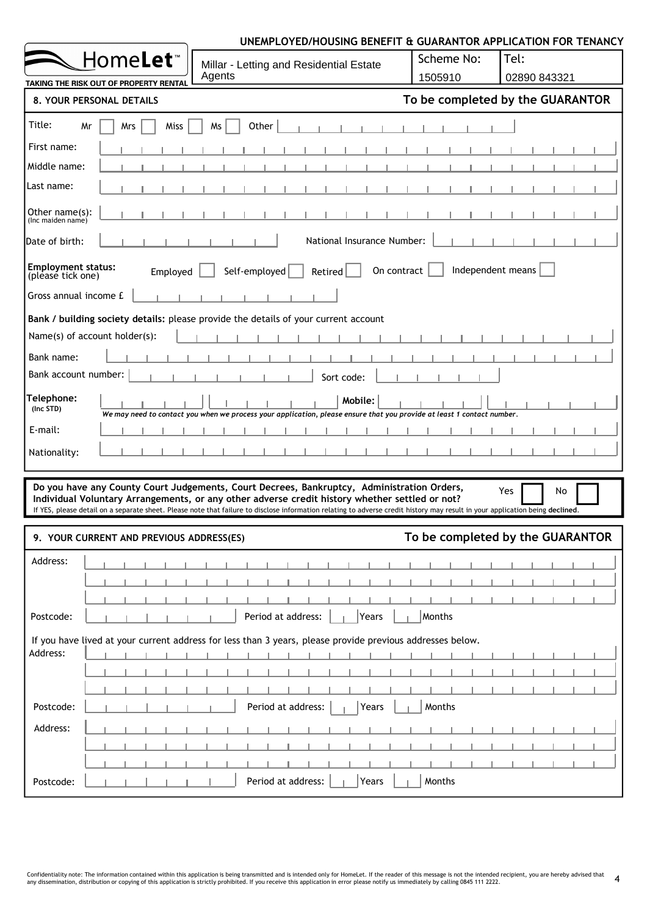|                                                            | UNEMPLOYED/HOUSING BENEFIT & GUARANTOR APPLICATION FOR TENANCY                                                                                                                                                                                                                                                                                                                |                       |                                                      |
|------------------------------------------------------------|-------------------------------------------------------------------------------------------------------------------------------------------------------------------------------------------------------------------------------------------------------------------------------------------------------------------------------------------------------------------------------|-----------------------|------------------------------------------------------|
| Home <b>Let</b> ™                                          | Millar - Letting and Residential Estate<br>Agents                                                                                                                                                                                                                                                                                                                             | Scheme No:<br>1505910 | Tel:<br>02890 843321                                 |
| TAKING THE RISK OUT OF PROPERTY RENTAL                     |                                                                                                                                                                                                                                                                                                                                                                               |                       |                                                      |
| 8. YOUR PERSONAL DETAILS                                   |                                                                                                                                                                                                                                                                                                                                                                               |                       | To be completed by the GUARANTOR                     |
| Title:<br>Miss<br>Mr<br>Mrs                                | Other<br>Ms                                                                                                                                                                                                                                                                                                                                                                   |                       |                                                      |
| First name:                                                |                                                                                                                                                                                                                                                                                                                                                                               |                       |                                                      |
| Middle name:                                               |                                                                                                                                                                                                                                                                                                                                                                               |                       |                                                      |
| Last name:                                                 |                                                                                                                                                                                                                                                                                                                                                                               |                       |                                                      |
| Other $name(s)$ :<br>(Inc maiden name)                     |                                                                                                                                                                                                                                                                                                                                                                               |                       |                                                      |
| Date of birth:                                             | National Insurance Number:                                                                                                                                                                                                                                                                                                                                                    |                       |                                                      |
| <b>Employment status:</b><br>Employed<br>(please tick one) | On contract<br>Self-employed<br>Retired                                                                                                                                                                                                                                                                                                                                       | Independent means     |                                                      |
| Gross annual income £                                      |                                                                                                                                                                                                                                                                                                                                                                               |                       |                                                      |
|                                                            | Bank / building society details: please provide the details of your current account                                                                                                                                                                                                                                                                                           |                       |                                                      |
| Name(s) of account holder(s):                              |                                                                                                                                                                                                                                                                                                                                                                               |                       |                                                      |
| Bank name:                                                 |                                                                                                                                                                                                                                                                                                                                                                               |                       |                                                      |
| Bank account number:                                       | Sort code:                                                                                                                                                                                                                                                                                                                                                                    |                       |                                                      |
| Telephone:<br>(Inc STD)                                    | Mobile:<br>We may need to contact you when we process your application, please ensure that you provide at least 1 contact number.                                                                                                                                                                                                                                             |                       |                                                      |
| E-mail:                                                    |                                                                                                                                                                                                                                                                                                                                                                               |                       |                                                      |
| Nationality:                                               |                                                                                                                                                                                                                                                                                                                                                                               |                       |                                                      |
|                                                            |                                                                                                                                                                                                                                                                                                                                                                               |                       |                                                      |
| 9. YOUR CURRENT AND PREVIOUS ADDRESS(ES)                   | Do you have any County Court Judgements, Court Decrees, Bankruptcy, Administration Orders,<br>Individual Voluntary Arrangements, or any other adverse credit history whether settled or not?<br>If YES, please detail on a separate sheet. Please note that failure to disclose information relating to adverse credit history may result in your application being declined. |                       | <b>Yes</b><br>No<br>To be completed by the GUARANTOR |
| Address:                                                   |                                                                                                                                                                                                                                                                                                                                                                               |                       |                                                      |
|                                                            |                                                                                                                                                                                                                                                                                                                                                                               |                       |                                                      |
|                                                            |                                                                                                                                                                                                                                                                                                                                                                               |                       |                                                      |
| Postcode:                                                  | Period at address:<br>Years                                                                                                                                                                                                                                                                                                                                                   | Months                |                                                      |
| Address:                                                   | If you have lived at your current address for less than 3 years, please provide previous addresses below.                                                                                                                                                                                                                                                                     |                       |                                                      |
|                                                            |                                                                                                                                                                                                                                                                                                                                                                               |                       |                                                      |
|                                                            |                                                                                                                                                                                                                                                                                                                                                                               |                       |                                                      |
| Postcode:                                                  | Period at address:<br>Years                                                                                                                                                                                                                                                                                                                                                   | Months                |                                                      |
| Address:                                                   |                                                                                                                                                                                                                                                                                                                                                                               |                       |                                                      |
|                                                            |                                                                                                                                                                                                                                                                                                                                                                               |                       |                                                      |
|                                                            |                                                                                                                                                                                                                                                                                                                                                                               |                       |                                                      |
| Postcode:                                                  | Period at address:<br>Years                                                                                                                                                                                                                                                                                                                                                   | Months                |                                                      |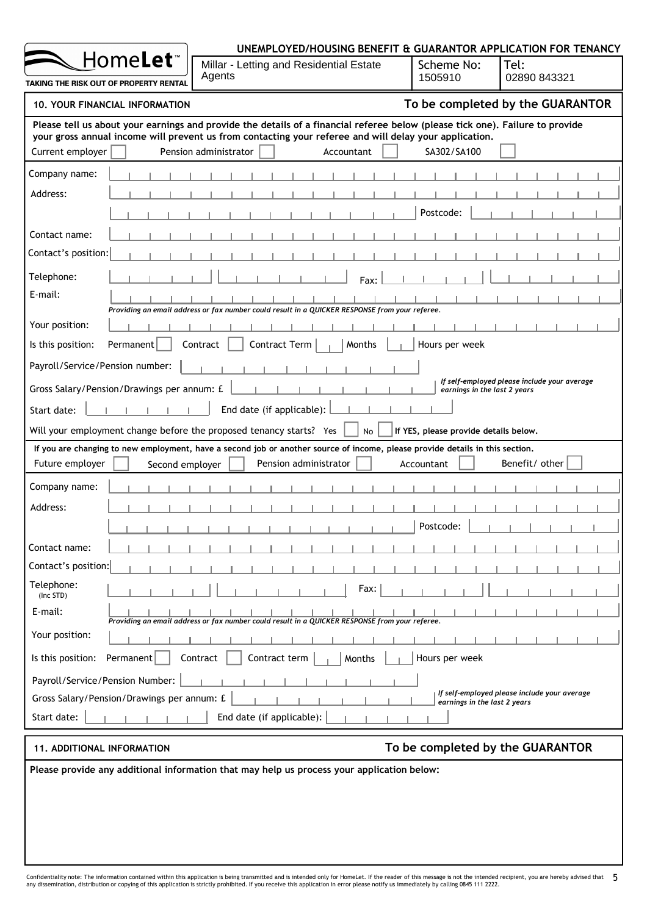|                                                                     |                                                                                                                                                                                                                                         | UNEMPLOYED/HOUSING BENEFIT & GUARANTOR APPLICATION FOR TENANCY               |
|---------------------------------------------------------------------|-----------------------------------------------------------------------------------------------------------------------------------------------------------------------------------------------------------------------------------------|------------------------------------------------------------------------------|
| Home <b>Let</b> ™                                                   | Millar - Letting and Residential Estate                                                                                                                                                                                                 | Scheme No:<br>Tel:                                                           |
| TAKING THE RISK OUT OF PROPERTY RENTAL                              | Agents                                                                                                                                                                                                                                  | 02890 843321<br>1505910                                                      |
| <b>10. YOUR FINANCIAL INFORMATION</b>                               |                                                                                                                                                                                                                                         | To be completed by the GUARANTOR                                             |
|                                                                     | Please tell us about your earnings and provide the details of a financial referee below (please tick one). Failure to provide<br>your gross annual income will prevent us from contacting your referee and will delay your application. |                                                                              |
| Current employer                                                    | Pension administrator<br>Accountant                                                                                                                                                                                                     | SA302/SA100                                                                  |
| Company name:                                                       |                                                                                                                                                                                                                                         |                                                                              |
| Address:                                                            |                                                                                                                                                                                                                                         |                                                                              |
|                                                                     |                                                                                                                                                                                                                                         | Postcode:                                                                    |
| Contact name:                                                       |                                                                                                                                                                                                                                         |                                                                              |
| Contact's position:                                                 |                                                                                                                                                                                                                                         |                                                                              |
| Telephone:                                                          | Fax:                                                                                                                                                                                                                                    |                                                                              |
| E-mail:                                                             | Providing an email address or fax number could result in a QUICKER RESPONSE from your referee.                                                                                                                                          |                                                                              |
| Your position:                                                      |                                                                                                                                                                                                                                         |                                                                              |
| Is this position:<br>Permanent                                      | Contract<br>Contract Term<br>Months                                                                                                                                                                                                     | Hours per week                                                               |
| Payroll/Service/Pension number:                                     |                                                                                                                                                                                                                                         |                                                                              |
| Gross Salary/Pension/Drawings per annum: £                          |                                                                                                                                                                                                                                         | If self-employed please include your average<br>earnings in the last 2 years |
| Start date:                                                         | End date (if applicable):                                                                                                                                                                                                               |                                                                              |
| Will your employment change before the proposed tenancy starts? Yes | <b>No</b>                                                                                                                                                                                                                               | If YES, please provide details below.                                        |
|                                                                     | If you are changing to new employment, have a second job or another source of income, please provide details in this section.                                                                                                           |                                                                              |
| Future employer<br>Second employer                                  | Pension administrator                                                                                                                                                                                                                   | Benefit/ other<br>Accountant                                                 |
| Company name:                                                       |                                                                                                                                                                                                                                         |                                                                              |
| Address:                                                            |                                                                                                                                                                                                                                         |                                                                              |
|                                                                     | H.                                                                                                                                                                                                                                      | Postcode:                                                                    |
| Contact name:                                                       |                                                                                                                                                                                                                                         |                                                                              |
| Contact's position:                                                 |                                                                                                                                                                                                                                         |                                                                              |
| Telephone:<br>(Inc STD)                                             | Fax:                                                                                                                                                                                                                                    |                                                                              |
| E-mail:                                                             | Providing an email address or fax number could result in a QUICKER RESPONSE from your referee.                                                                                                                                          |                                                                              |
| Your position:                                                      |                                                                                                                                                                                                                                         |                                                                              |
| Is this position:<br>Permanent                                      | Contract<br>Contract term<br>Months                                                                                                                                                                                                     | Hours per week                                                               |
| Payroll/Service/Pension Number:                                     |                                                                                                                                                                                                                                         |                                                                              |
| Gross Salary/Pension/Drawings per annum: £                          |                                                                                                                                                                                                                                         | If self-employed please include your average<br>earnings in the last 2 years |
| Start date:                                                         | End date (if applicable):                                                                                                                                                                                                               |                                                                              |
| <b>11. ADDITIONAL INFORMATION</b>                                   |                                                                                                                                                                                                                                         | To be completed by the GUARANTOR                                             |
|                                                                     | Please provide any additional information that may help us process your application below:                                                                                                                                              |                                                                              |